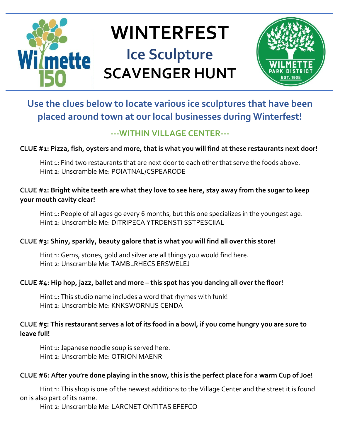

# **WINTERFEST Ice Sculpture SCAVENGER HUNT**



## **Use the clues below to locate various ice sculptures that have been placed around town at our local businesses during Winterfest!**

## **---WITHIN VILLAGE CENTER---**

**CLUE #1: Pizza, fish, oysters and more, that is what you will find at these restaurants next door!** 

Hint 1: Find two restaurants that are next door to each other that serve the foods above. Hint 2: Unscramble Me: POIATNAL/CSPEARODE

## **CLUE #2: Bright white teeth are what they love to see here, stay away from the sugar to keep your mouth cavity clear!**

Hint 1: People of all ages go every 6 months, but this one specializes in the youngest age. Hint 2: Unscramble Me: DITRIPECA YTRDENSTI SSTPESCIIAL

## **CLUE #3: Shiny, sparkly, beauty galore that is what you will find all over this store!**

Hint 1: Gems, stones, gold and silver are all things you would find here. Hint 2: Unscramble Me: TAMBLRHECS ERSWELEJ

## **CLUE #4: Hip hop, jazz, ballet and more – this spot has you dancing all over the floor!**

Hint 1: This studio name includes a word that rhymes with funk! Hint 2: Unscramble Me: KNKSWORNUS CENDA

## **CLUE #5: This restaurant serves a lot of its food in a bowl, if you come hungry you are sure to leave full!**

Hint 1: Japanese noodle soup is served here. Hint 2: Unscramble Me: OTRION MAENR

## **CLUE #6: After you're done playing in the snow, this is the perfect place for a warm Cup of Joe!**

Hint 1: This shop is one of the newest additions to the Village Center and the street it is found on is also part of its name.

Hint 2: Unscramble Me: LARCNET ONTITAS EFEFCO